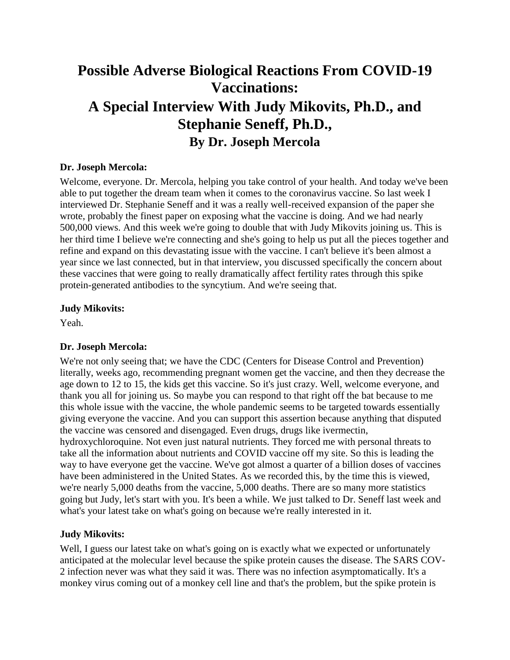# **Possible Adverse Biological Reactions From COVID-19 Vaccinations: A Special Interview With Judy Mikovits, Ph.D., and Stephanie Seneff, Ph.D., By Dr. Joseph Mercola**

## **Dr. Joseph Mercola:**

Welcome, everyone. Dr. Mercola, helping you take control of your health. And today we've been able to put together the dream team when it comes to the coronavirus vaccine. So last week I interviewed Dr. Stephanie Seneff and it was a really well-received expansion of the paper she wrote, probably the finest paper on exposing what the vaccine is doing. And we had nearly 500,000 views. And this week we're going to double that with Judy Mikovits joining us. This is her third time I believe we're connecting and she's going to help us put all the pieces together and refine and expand on this devastating issue with the vaccine. I can't believe it's been almost a year since we last connected, but in that interview, you discussed specifically the concern about these vaccines that were going to really dramatically affect fertility rates through this spike protein-generated antibodies to the syncytium. And we're seeing that.

#### **Judy Mikovits:**

Yeah.

#### **Dr. Joseph Mercola:**

We're not only seeing that; we have the CDC (Centers for Disease Control and Prevention) literally, weeks ago, recommending pregnant women get the vaccine, and then they decrease the age down to 12 to 15, the kids get this vaccine. So it's just crazy. Well, welcome everyone, and thank you all for joining us. So maybe you can respond to that right off the bat because to me this whole issue with the vaccine, the whole pandemic seems to be targeted towards essentially giving everyone the vaccine. And you can support this assertion because anything that disputed the vaccine was censored and disengaged. Even drugs, drugs like ivermectin, hydroxychloroquine. Not even just natural nutrients. They forced me with personal threats to take all the information about nutrients and COVID vaccine off my site. So this is leading the way to have everyone get the vaccine. We've got almost a quarter of a billion doses of vaccines have been administered in the United States. As we recorded this, by the time this is viewed, we're nearly 5,000 deaths from the vaccine, 5,000 deaths. There are so many more statistics going but Judy, let's start with you. It's been a while. We just talked to Dr. Seneff last week and what's your latest take on what's going on because we're really interested in it.

#### **Judy Mikovits:**

Well, I guess our latest take on what's going on is exactly what we expected or unfortunately anticipated at the molecular level because the spike protein causes the disease. The SARS COV-2 infection never was what they said it was. There was no infection asymptomatically. It's a monkey virus coming out of a monkey cell line and that's the problem, but the spike protein is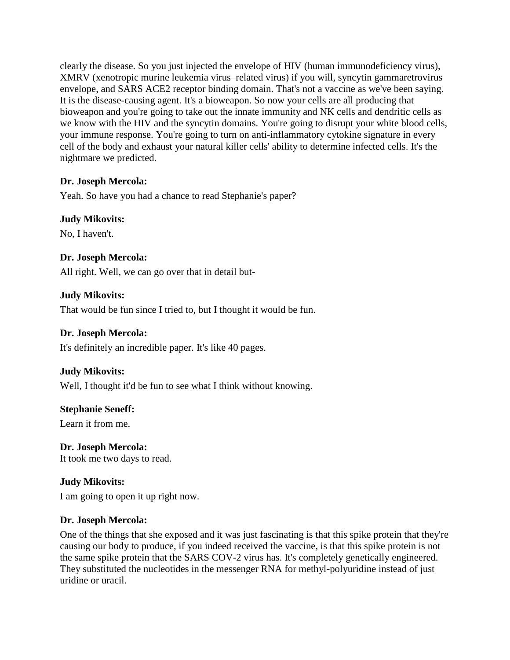clearly the disease. So you just injected the envelope of HIV (human immunodeficiency virus), XMRV (xenotropic murine leukemia virus–related virus) if you will, syncytin gammaretrovirus envelope, and SARS ACE2 receptor binding domain. That's not a vaccine as we've been saying. It is the disease-causing agent. It's a bioweapon. So now your cells are all producing that bioweapon and you're going to take out the innate immunity and NK cells and dendritic cells as we know with the HIV and the syncytin domains. You're going to disrupt your white blood cells, your immune response. You're going to turn on anti-inflammatory cytokine signature in every cell of the body and exhaust your natural killer cells' ability to determine infected cells. It's the nightmare we predicted.

#### **Dr. Joseph Mercola:**

Yeah. So have you had a chance to read Stephanie's paper?

## **Judy Mikovits:**

No, I haven't.

#### **Dr. Joseph Mercola:**

All right. Well, we can go over that in detail but-

#### **Judy Mikovits:**

That would be fun since I tried to, but I thought it would be fun.

#### **Dr. Joseph Mercola:**

It's definitely an incredible paper. It's like 40 pages.

## **Judy Mikovits:**

Well, I thought it'd be fun to see what I think without knowing.

## **Stephanie Seneff:**

Learn it from me.

**Dr. Joseph Mercola:** It took me two days to read.

## **Judy Mikovits:**

I am going to open it up right now.

#### **Dr. Joseph Mercola:**

One of the things that she exposed and it was just fascinating is that this spike protein that they're causing our body to produce, if you indeed received the vaccine, is that this spike protein is not the same spike protein that the SARS COV-2 virus has. It's completely genetically engineered. They substituted the nucleotides in the messenger RNA for methyl-polyuridine instead of just uridine or uracil.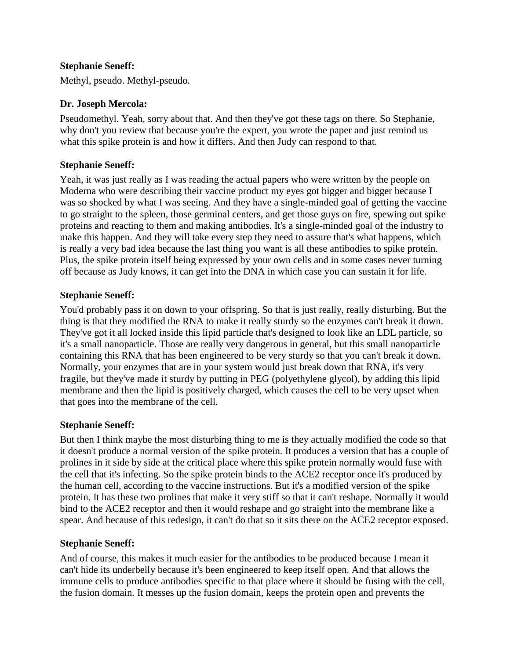## **Stephanie Seneff:**

Methyl, pseudo. Methyl-pseudo.

#### **Dr. Joseph Mercola:**

Pseudomethyl. Yeah, sorry about that. And then they've got these tags on there. So Stephanie, why don't you review that because you're the expert, you wrote the paper and just remind us what this spike protein is and how it differs. And then Judy can respond to that.

#### **Stephanie Seneff:**

Yeah, it was just really as I was reading the actual papers who were written by the people on Moderna who were describing their vaccine product my eyes got bigger and bigger because I was so shocked by what I was seeing. And they have a single-minded goal of getting the vaccine to go straight to the spleen, those germinal centers, and get those guys on fire, spewing out spike proteins and reacting to them and making antibodies. It's a single-minded goal of the industry to make this happen. And they will take every step they need to assure that's what happens, which is really a very bad idea because the last thing you want is all these antibodies to spike protein. Plus, the spike protein itself being expressed by your own cells and in some cases never turning off because as Judy knows, it can get into the DNA in which case you can sustain it for life.

#### **Stephanie Seneff:**

You'd probably pass it on down to your offspring. So that is just really, really disturbing. But the thing is that they modified the RNA to make it really sturdy so the enzymes can't break it down. They've got it all locked inside this lipid particle that's designed to look like an LDL particle, so it's a small nanoparticle. Those are really very dangerous in general, but this small nanoparticle containing this RNA that has been engineered to be very sturdy so that you can't break it down. Normally, your enzymes that are in your system would just break down that RNA, it's very fragile, but they've made it sturdy by putting in PEG (polyethylene glycol), by adding this lipid membrane and then the lipid is positively charged, which causes the cell to be very upset when that goes into the membrane of the cell.

## **Stephanie Seneff:**

But then I think maybe the most disturbing thing to me is they actually modified the code so that it doesn't produce a normal version of the spike protein. It produces a version that has a couple of prolines in it side by side at the critical place where this spike protein normally would fuse with the cell that it's infecting. So the spike protein binds to the ACE2 receptor once it's produced by the human cell, according to the vaccine instructions. But it's a modified version of the spike protein. It has these two prolines that make it very stiff so that it can't reshape. Normally it would bind to the ACE2 receptor and then it would reshape and go straight into the membrane like a spear. And because of this redesign, it can't do that so it sits there on the ACE2 receptor exposed.

## **Stephanie Seneff:**

And of course, this makes it much easier for the antibodies to be produced because I mean it can't hide its underbelly because it's been engineered to keep itself open. And that allows the immune cells to produce antibodies specific to that place where it should be fusing with the cell, the fusion domain. It messes up the fusion domain, keeps the protein open and prevents the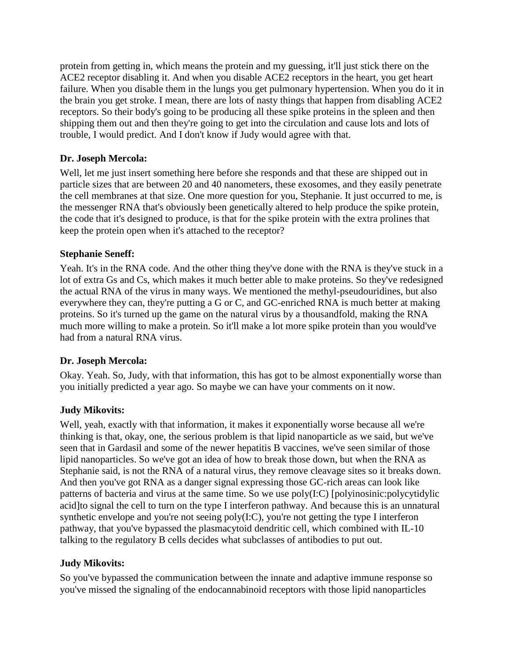protein from getting in, which means the protein and my guessing, it'll just stick there on the ACE2 receptor disabling it. And when you disable ACE2 receptors in the heart, you get heart failure. When you disable them in the lungs you get pulmonary hypertension. When you do it in the brain you get stroke. I mean, there are lots of nasty things that happen from disabling ACE2 receptors. So their body's going to be producing all these spike proteins in the spleen and then shipping them out and then they're going to get into the circulation and cause lots and lots of trouble, I would predict. And I don't know if Judy would agree with that.

#### **Dr. Joseph Mercola:**

Well, let me just insert something here before she responds and that these are shipped out in particle sizes that are between 20 and 40 nanometers, these exosomes, and they easily penetrate the cell membranes at that size. One more question for you, Stephanie. It just occurred to me, is the messenger RNA that's obviously been genetically altered to help produce the spike protein, the code that it's designed to produce, is that for the spike protein with the extra prolines that keep the protein open when it's attached to the receptor?

#### **Stephanie Seneff:**

Yeah. It's in the RNA code. And the other thing they've done with the RNA is they've stuck in a lot of extra Gs and Cs, which makes it much better able to make proteins. So they've redesigned the actual RNA of the virus in many ways. We mentioned the methyl-pseudouridines, but also everywhere they can, they're putting a G or C, and GC-enriched RNA is much better at making proteins. So it's turned up the game on the natural virus by a thousandfold, making the RNA much more willing to make a protein. So it'll make a lot more spike protein than you would've had from a natural RNA virus.

#### **Dr. Joseph Mercola:**

Okay. Yeah. So, Judy, with that information, this has got to be almost exponentially worse than you initially predicted a year ago. So maybe we can have your comments on it now.

## **Judy Mikovits:**

Well, yeah, exactly with that information, it makes it exponentially worse because all we're thinking is that, okay, one, the serious problem is that lipid nanoparticle as we said, but we've seen that in Gardasil and some of the newer hepatitis B vaccines, we've seen similar of those lipid nanoparticles. So we've got an idea of how to break those down, but when the RNA as Stephanie said, is not the RNA of a natural virus, they remove cleavage sites so it breaks down. And then you've got RNA as a danger signal expressing those GC-rich areas can look like patterns of bacteria and virus at the same time. So we use poly(I:C) [polyinosinic:polycytidylic acid]to signal the cell to turn on the type I interferon pathway. And because this is an unnatural synthetic envelope and you're not seeing  $poly(I:C)$ , you're not getting the type I interferon pathway, that you've bypassed the plasmacytoid dendritic cell, which combined with IL-10 talking to the regulatory B cells decides what subclasses of antibodies to put out.

#### **Judy Mikovits:**

So you've bypassed the communication between the innate and adaptive immune response so you've missed the signaling of the endocannabinoid receptors with those lipid nanoparticles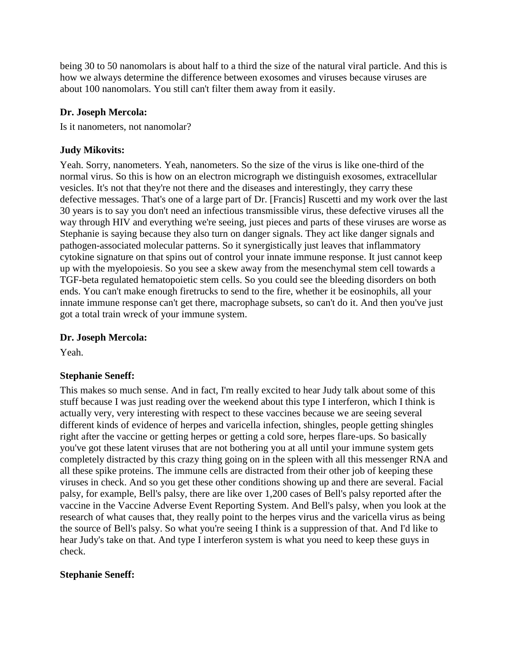being 30 to 50 nanomolars is about half to a third the size of the natural viral particle. And this is how we always determine the difference between exosomes and viruses because viruses are about 100 nanomolars. You still can't filter them away from it easily.

#### **Dr. Joseph Mercola:**

Is it nanometers, not nanomolar?

### **Judy Mikovits:**

Yeah. Sorry, nanometers. Yeah, nanometers. So the size of the virus is like one-third of the normal virus. So this is how on an electron micrograph we distinguish exosomes, extracellular vesicles. It's not that they're not there and the diseases and interestingly, they carry these defective messages. That's one of a large part of Dr. [Francis] Ruscetti and my work over the last 30 years is to say you don't need an infectious transmissible virus, these defective viruses all the way through HIV and everything we're seeing, just pieces and parts of these viruses are worse as Stephanie is saying because they also turn on danger signals. They act like danger signals and pathogen-associated molecular patterns. So it synergistically just leaves that inflammatory cytokine signature on that spins out of control your innate immune response. It just cannot keep up with the myelopoiesis. So you see a skew away from the mesenchymal stem cell towards a TGF-beta regulated hematopoietic stem cells. So you could see the bleeding disorders on both ends. You can't make enough firetrucks to send to the fire, whether it be eosinophils, all your innate immune response can't get there, macrophage subsets, so can't do it. And then you've just got a total train wreck of your immune system.

## **Dr. Joseph Mercola:**

Yeah.

## **Stephanie Seneff:**

This makes so much sense. And in fact, I'm really excited to hear Judy talk about some of this stuff because I was just reading over the weekend about this type I interferon, which I think is actually very, very interesting with respect to these vaccines because we are seeing several different kinds of evidence of herpes and varicella infection, shingles, people getting shingles right after the vaccine or getting herpes or getting a cold sore, herpes flare-ups. So basically you've got these latent viruses that are not bothering you at all until your immune system gets completely distracted by this crazy thing going on in the spleen with all this messenger RNA and all these spike proteins. The immune cells are distracted from their other job of keeping these viruses in check. And so you get these other conditions showing up and there are several. Facial palsy, for example, Bell's palsy, there are like over 1,200 cases of Bell's palsy reported after the vaccine in the Vaccine Adverse Event Reporting System. And Bell's palsy, when you look at the research of what causes that, they really point to the herpes virus and the varicella virus as being the source of Bell's palsy. So what you're seeing I think is a suppression of that. And I'd like to hear Judy's take on that. And type I interferon system is what you need to keep these guys in check.

## **Stephanie Seneff:**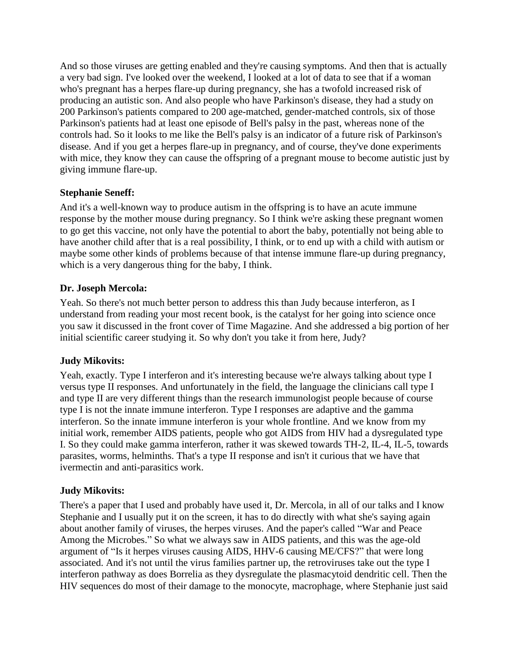And so those viruses are getting enabled and they're causing symptoms. And then that is actually a very bad sign. I've looked over the weekend, I looked at a lot of data to see that if a woman who's pregnant has a herpes flare-up during pregnancy, she has a twofold increased risk of producing an autistic son. And also people who have Parkinson's disease, they had a study on 200 Parkinson's patients compared to 200 age-matched, gender-matched controls, six of those Parkinson's patients had at least one episode of Bell's palsy in the past, whereas none of the controls had. So it looks to me like the Bell's palsy is an indicator of a future risk of Parkinson's disease. And if you get a herpes flare-up in pregnancy, and of course, they've done experiments with mice, they know they can cause the offspring of a pregnant mouse to become autistic just by giving immune flare-up.

## **Stephanie Seneff:**

And it's a well-known way to produce autism in the offspring is to have an acute immune response by the mother mouse during pregnancy. So I think we're asking these pregnant women to go get this vaccine, not only have the potential to abort the baby, potentially not being able to have another child after that is a real possibility, I think, or to end up with a child with autism or maybe some other kinds of problems because of that intense immune flare-up during pregnancy, which is a very dangerous thing for the baby, I think.

## **Dr. Joseph Mercola:**

Yeah. So there's not much better person to address this than Judy because interferon, as I understand from reading your most recent book, is the catalyst for her going into science once you saw it discussed in the front cover of Time Magazine. And she addressed a big portion of her initial scientific career studying it. So why don't you take it from here, Judy?

## **Judy Mikovits:**

Yeah, exactly. Type I interferon and it's interesting because we're always talking about type I versus type II responses. And unfortunately in the field, the language the clinicians call type I and type II are very different things than the research immunologist people because of course type I is not the innate immune interferon. Type I responses are adaptive and the gamma interferon. So the innate immune interferon is your whole frontline. And we know from my initial work, remember AIDS patients, people who got AIDS from HIV had a dysregulated type I. So they could make gamma interferon, rather it was skewed towards TH-2, IL-4, IL-5, towards parasites, worms, helminths. That's a type II response and isn't it curious that we have that ivermectin and anti-parasitics work.

## **Judy Mikovits:**

There's a paper that I used and probably have used it, Dr. Mercola, in all of our talks and I know Stephanie and I usually put it on the screen, it has to do directly with what she's saying again about another family of viruses, the herpes viruses. And the paper's called "War and Peace Among the Microbes." So what we always saw in AIDS patients, and this was the age-old argument of "Is it herpes viruses causing AIDS, HHV-6 causing ME/CFS?" that were long associated. And it's not until the virus families partner up, the retroviruses take out the type I interferon pathway as does Borrelia as they dysregulate the plasmacytoid dendritic cell. Then the HIV sequences do most of their damage to the monocyte, macrophage, where Stephanie just said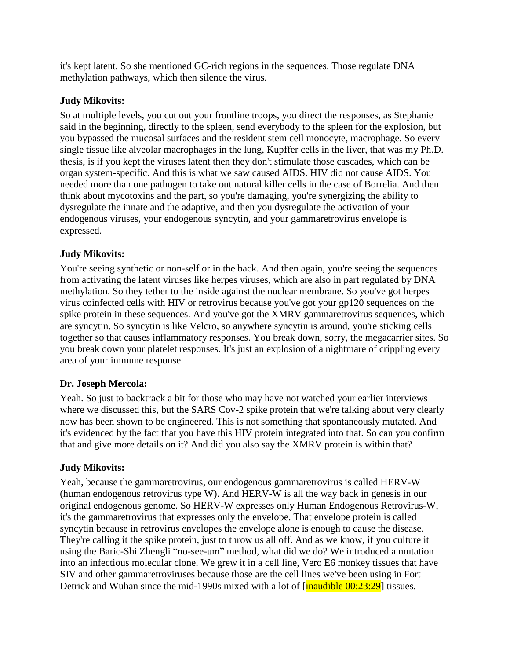it's kept latent. So she mentioned GC-rich regions in the sequences. Those regulate DNA methylation pathways, which then silence the virus.

#### **Judy Mikovits:**

So at multiple levels, you cut out your frontline troops, you direct the responses, as Stephanie said in the beginning, directly to the spleen, send everybody to the spleen for the explosion, but you bypassed the mucosal surfaces and the resident stem cell monocyte, macrophage. So every single tissue like alveolar macrophages in the lung, Kupffer cells in the liver, that was my Ph.D. thesis, is if you kept the viruses latent then they don't stimulate those cascades, which can be organ system-specific. And this is what we saw caused AIDS. HIV did not cause AIDS. You needed more than one pathogen to take out natural killer cells in the case of Borrelia. And then think about mycotoxins and the part, so you're damaging, you're synergizing the ability to dysregulate the innate and the adaptive, and then you dysregulate the activation of your endogenous viruses, your endogenous syncytin, and your gammaretrovirus envelope is expressed.

## **Judy Mikovits:**

You're seeing synthetic or non-self or in the back. And then again, you're seeing the sequences from activating the latent viruses like herpes viruses, which are also in part regulated by DNA methylation. So they tether to the inside against the nuclear membrane. So you've got herpes virus coinfected cells with HIV or retrovirus because you've got your gp120 sequences on the spike protein in these sequences. And you've got the XMRV gammaretrovirus sequences, which are syncytin. So syncytin is like Velcro, so anywhere syncytin is around, you're sticking cells together so that causes inflammatory responses. You break down, sorry, the megacarrier sites. So you break down your platelet responses. It's just an explosion of a nightmare of crippling every area of your immune response.

#### **Dr. Joseph Mercola:**

Yeah. So just to backtrack a bit for those who may have not watched your earlier interviews where we discussed this, but the SARS Cov-2 spike protein that we're talking about very clearly now has been shown to be engineered. This is not something that spontaneously mutated. And it's evidenced by the fact that you have this HIV protein integrated into that. So can you confirm that and give more details on it? And did you also say the XMRV protein is within that?

#### **Judy Mikovits:**

Yeah, because the gammaretrovirus, our endogenous gammaretrovirus is called HERV-W (human endogenous retrovirus type W). And HERV-W is all the way back in genesis in our original endogenous genome. So HERV-W expresses only Human Endogenous Retrovirus-W, it's the gammaretrovirus that expresses only the envelope. That envelope protein is called syncytin because in retrovirus envelopes the envelope alone is enough to cause the disease. They're calling it the spike protein, just to throw us all off. And as we know, if you culture it using the Baric-Shi Zhengli "no-see-um" method, what did we do? We introduced a mutation into an infectious molecular clone. We grew it in a cell line, Vero E6 monkey tissues that have SIV and other gammaretroviruses because those are the cell lines we've been using in Fort Detrick and Wuhan since the mid-1990s mixed with a lot of [inaudible 00:23:29] tissues.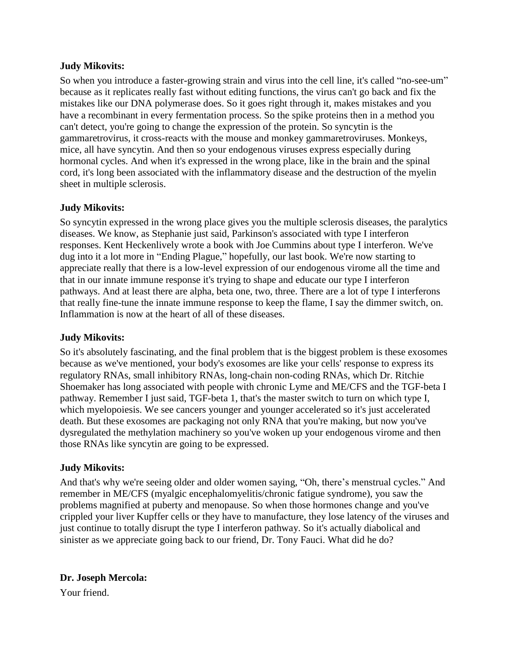So when you introduce a faster-growing strain and virus into the cell line, it's called "no-see-um" because as it replicates really fast without editing functions, the virus can't go back and fix the mistakes like our DNA polymerase does. So it goes right through it, makes mistakes and you have a recombinant in every fermentation process. So the spike proteins then in a method you can't detect, you're going to change the expression of the protein. So syncytin is the gammaretrovirus, it cross-reacts with the mouse and monkey gammaretroviruses. Monkeys, mice, all have syncytin. And then so your endogenous viruses express especially during hormonal cycles. And when it's expressed in the wrong place, like in the brain and the spinal cord, it's long been associated with the inflammatory disease and the destruction of the myelin sheet in multiple sclerosis.

## **Judy Mikovits:**

So syncytin expressed in the wrong place gives you the multiple sclerosis diseases, the paralytics diseases. We know, as Stephanie just said, Parkinson's associated with type I interferon responses. Kent Heckenlively wrote a book with Joe Cummins about type I interferon. We've dug into it a lot more in "Ending Plague," hopefully, our last book. We're now starting to appreciate really that there is a low-level expression of our endogenous virome all the time and that in our innate immune response it's trying to shape and educate our type I interferon pathways. And at least there are alpha, beta one, two, three. There are a lot of type I interferons that really fine-tune the innate immune response to keep the flame, I say the dimmer switch, on. Inflammation is now at the heart of all of these diseases.

#### **Judy Mikovits:**

So it's absolutely fascinating, and the final problem that is the biggest problem is these exosomes because as we've mentioned, your body's exosomes are like your cells' response to express its regulatory RNAs, small inhibitory RNAs, long-chain non-coding RNAs, which Dr. Ritchie Shoemaker has long associated with people with chronic Lyme and ME/CFS and the TGF-beta I pathway. Remember I just said, TGF-beta 1, that's the master switch to turn on which type I, which myelopoiesis. We see cancers younger and younger accelerated so it's just accelerated death. But these exosomes are packaging not only RNA that you're making, but now you've dysregulated the methylation machinery so you've woken up your endogenous virome and then those RNAs like syncytin are going to be expressed.

#### **Judy Mikovits:**

And that's why we're seeing older and older women saying, "Oh, there's menstrual cycles." And remember in ME/CFS (myalgic encephalomyelitis/chronic fatigue syndrome), you saw the problems magnified at puberty and menopause. So when those hormones change and you've crippled your liver Kupffer cells or they have to manufacture, they lose latency of the viruses and just continue to totally disrupt the type I interferon pathway. So it's actually diabolical and sinister as we appreciate going back to our friend, Dr. Tony Fauci. What did he do?

## **Dr. Joseph Mercola:**

Your friend.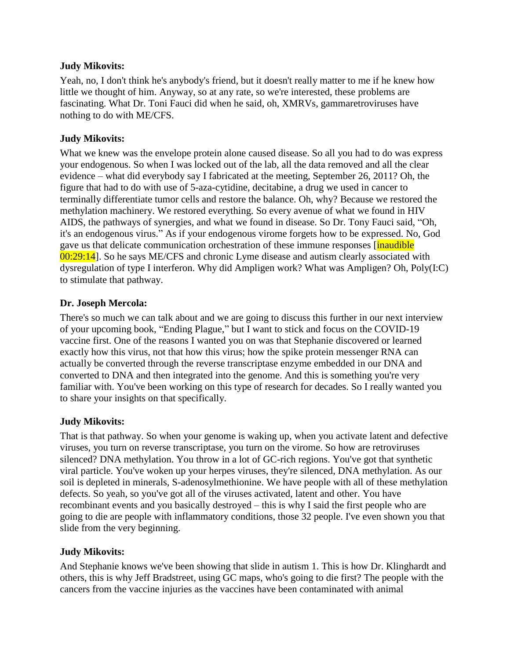Yeah, no, I don't think he's anybody's friend, but it doesn't really matter to me if he knew how little we thought of him. Anyway, so at any rate, so we're interested, these problems are fascinating. What Dr. Toni Fauci did when he said, oh, XMRVs, gammaretroviruses have nothing to do with ME/CFS.

## **Judy Mikovits:**

What we knew was the envelope protein alone caused disease. So all you had to do was express your endogenous. So when I was locked out of the lab, all the data removed and all the clear evidence – what did everybody say I fabricated at the meeting, September 26, 2011? Oh, the figure that had to do with use of 5-aza-cytidine, decitabine, a drug we used in cancer to terminally differentiate tumor cells and restore the balance. Oh, why? Because we restored the methylation machinery. We restored everything. So every avenue of what we found in HIV AIDS, the pathways of synergies, and what we found in disease. So Dr. Tony Fauci said, "Oh, it's an endogenous virus." As if your endogenous virome forgets how to be expressed. No, God gave us that delicate communication orchestration of these immune responses *[inaudible]* 00:29:14]. So he says ME/CFS and chronic Lyme disease and autism clearly associated with dysregulation of type I interferon. Why did Ampligen work? What was Ampligen? Oh, Poly(I:C) to stimulate that pathway.

#### **Dr. Joseph Mercola:**

There's so much we can talk about and we are going to discuss this further in our next interview of your upcoming book, "Ending Plague," but I want to stick and focus on the COVID-19 vaccine first. One of the reasons I wanted you on was that Stephanie discovered or learned exactly how this virus, not that how this virus; how the spike protein messenger RNA can actually be converted through the reverse transcriptase enzyme embedded in our DNA and converted to DNA and then integrated into the genome. And this is something you're very familiar with. You've been working on this type of research for decades. So I really wanted you to share your insights on that specifically.

## **Judy Mikovits:**

That is that pathway. So when your genome is waking up, when you activate latent and defective viruses, you turn on reverse transcriptase, you turn on the virome. So how are retroviruses silenced? DNA methylation. You throw in a lot of GC-rich regions. You've got that synthetic viral particle. You've woken up your herpes viruses, they're silenced, DNA methylation. As our soil is depleted in minerals, S-adenosylmethionine. We have people with all of these methylation defects. So yeah, so you've got all of the viruses activated, latent and other. You have recombinant events and you basically destroyed – this is why I said the first people who are going to die are people with inflammatory conditions, those 32 people. I've even shown you that slide from the very beginning.

## **Judy Mikovits:**

And Stephanie knows we've been showing that slide in autism 1. This is how Dr. Klinghardt and others, this is why Jeff Bradstreet, using GC maps, who's going to die first? The people with the cancers from the vaccine injuries as the vaccines have been contaminated with animal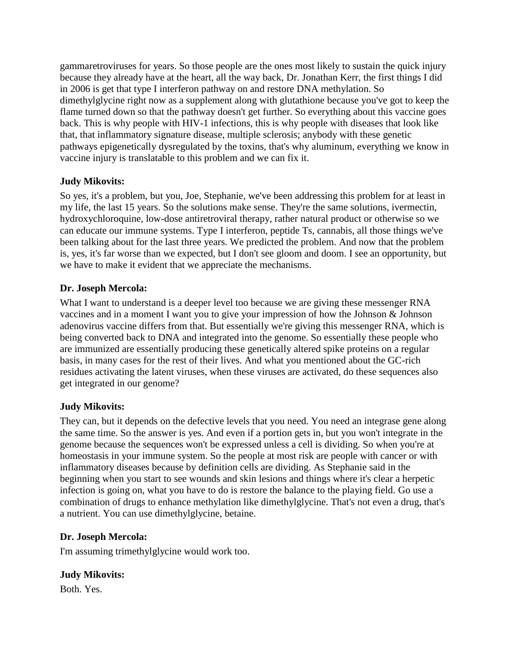gammaretroviruses for years. So those people are the ones most likely to sustain the quick injury because they already have at the heart, all the way back, Dr. Jonathan Kerr, the first things I did in 2006 is get that type I interferon pathway on and restore DNA methylation. So dimethylglycine right now as a supplement along with glutathione because you've got to keep the flame turned down so that the pathway doesn't get further. So everything about this vaccine goes back. This is why people with HIV-1 infections, this is why people with diseases that look like that, that inflammatory signature disease, multiple sclerosis; anybody with these genetic pathways epigenetically dysregulated by the toxins, that's why aluminum, everything we know in vaccine injury is translatable to this problem and we can fix it.

## **Judy Mikovits:**

So yes, it's a problem, but you, Joe, Stephanie, we've been addressing this problem for at least in my life, the last 15 years. So the solutions make sense. They're the same solutions, ivermectin, hydroxychloroquine, low-dose antiretroviral therapy, rather natural product or otherwise so we can educate our immune systems. Type I interferon, peptide Ts, cannabis, all those things we've been talking about for the last three years. We predicted the problem. And now that the problem is, yes, it's far worse than we expected, but I don't see gloom and doom. I see an opportunity, but we have to make it evident that we appreciate the mechanisms.

## **Dr. Joseph Mercola:**

What I want to understand is a deeper level too because we are giving these messenger RNA vaccines and in a moment I want you to give your impression of how the Johnson & Johnson adenovirus vaccine differs from that. But essentially we're giving this messenger RNA, which is being converted back to DNA and integrated into the genome. So essentially these people who are immunized are essentially producing these genetically altered spike proteins on a regular basis, in many cases for the rest of their lives. And what you mentioned about the GC-rich residues activating the latent viruses, when these viruses are activated, do these sequences also get integrated in our genome?

## **Judy Mikovits:**

They can, but it depends on the defective levels that you need. You need an integrase gene along the same time. So the answer is yes. And even if a portion gets in, but you won't integrate in the genome because the sequences won't be expressed unless a cell is dividing. So when you're at homeostasis in your immune system. So the people at most risk are people with cancer or with inflammatory diseases because by definition cells are dividing. As Stephanie said in the beginning when you start to see wounds and skin lesions and things where it's clear a herpetic infection is going on, what you have to do is restore the balance to the playing field. Go use a combination of drugs to enhance methylation like dimethylglycine. That's not even a drug, that's a nutrient. You can use dimethylglycine, betaine.

## **Dr. Joseph Mercola:**

I'm assuming trimethylglycine would work too.

## **Judy Mikovits:**

Both. Yes.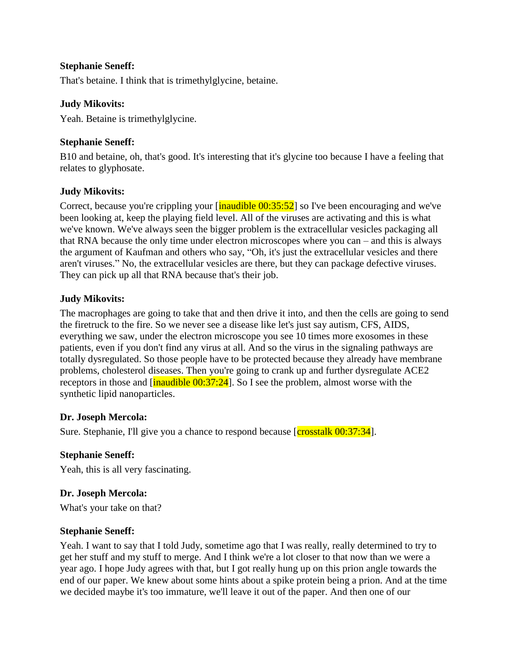### **Stephanie Seneff:**

That's betaine. I think that is trimethylglycine, betaine.

#### **Judy Mikovits:**

Yeah. Betaine is trimethylglycine.

### **Stephanie Seneff:**

B10 and betaine, oh, that's good. It's interesting that it's glycine too because I have a feeling that relates to glyphosate.

#### **Judy Mikovits:**

Correct, because you're crippling your  $\left[\frac{\text{inaudible } 00:35:52}{\text{inadible } 00:35:52}\right]$  so I've been encouraging and we've been looking at, keep the playing field level. All of the viruses are activating and this is what we've known. We've always seen the bigger problem is the extracellular vesicles packaging all that RNA because the only time under electron microscopes where you can – and this is always the argument of Kaufman and others who say, "Oh, it's just the extracellular vesicles and there aren't viruses." No, the extracellular vesicles are there, but they can package defective viruses. They can pick up all that RNA because that's their job.

#### **Judy Mikovits:**

The macrophages are going to take that and then drive it into, and then the cells are going to send the firetruck to the fire. So we never see a disease like let's just say autism, CFS, AIDS, everything we saw, under the electron microscope you see 10 times more exosomes in these patients, even if you don't find any virus at all. And so the virus in the signaling pathways are totally dysregulated. So those people have to be protected because they already have membrane problems, cholesterol diseases. Then you're going to crank up and further dysregulate ACE2 receptors in those and  $\left[\frac{\text{inaudible } 00:37:24}{\text{inadible } 00:37:24}\right]$ . So I see the problem, almost worse with the synthetic lipid nanoparticles.

#### **Dr. Joseph Mercola:**

Sure. Stephanie, I'll give you a chance to respond because [crosstalk 00:37:34].

#### **Stephanie Seneff:**

Yeah, this is all very fascinating.

#### **Dr. Joseph Mercola:**

What's your take on that?

#### **Stephanie Seneff:**

Yeah. I want to say that I told Judy, sometime ago that I was really, really determined to try to get her stuff and my stuff to merge. And I think we're a lot closer to that now than we were a year ago. I hope Judy agrees with that, but I got really hung up on this prion angle towards the end of our paper. We knew about some hints about a spike protein being a prion. And at the time we decided maybe it's too immature, we'll leave it out of the paper. And then one of our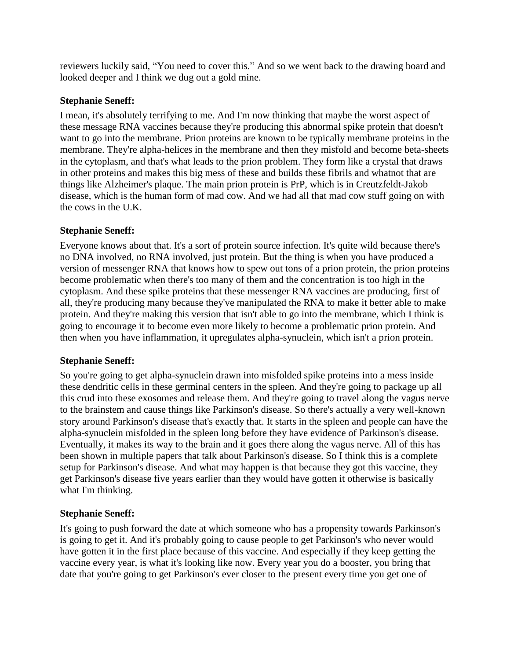reviewers luckily said, "You need to cover this." And so we went back to the drawing board and looked deeper and I think we dug out a gold mine.

### **Stephanie Seneff:**

I mean, it's absolutely terrifying to me. And I'm now thinking that maybe the worst aspect of these message RNA vaccines because they're producing this abnormal spike protein that doesn't want to go into the membrane. Prion proteins are known to be typically membrane proteins in the membrane. They're alpha-helices in the membrane and then they misfold and become beta-sheets in the cytoplasm, and that's what leads to the prion problem. They form like a crystal that draws in other proteins and makes this big mess of these and builds these fibrils and whatnot that are things like Alzheimer's plaque. The main prion protein is PrP, which is in Creutzfeldt-Jakob disease, which is the human form of mad cow. And we had all that mad cow stuff going on with the cows in the U.K.

#### **Stephanie Seneff:**

Everyone knows about that. It's a sort of protein source infection. It's quite wild because there's no DNA involved, no RNA involved, just protein. But the thing is when you have produced a version of messenger RNA that knows how to spew out tons of a prion protein, the prion proteins become problematic when there's too many of them and the concentration is too high in the cytoplasm. And these spike proteins that these messenger RNA vaccines are producing, first of all, they're producing many because they've manipulated the RNA to make it better able to make protein. And they're making this version that isn't able to go into the membrane, which I think is going to encourage it to become even more likely to become a problematic prion protein. And then when you have inflammation, it upregulates alpha-synuclein, which isn't a prion protein.

## **Stephanie Seneff:**

So you're going to get alpha-synuclein drawn into misfolded spike proteins into a mess inside these dendritic cells in these germinal centers in the spleen. And they're going to package up all this crud into these exosomes and release them. And they're going to travel along the vagus nerve to the brainstem and cause things like Parkinson's disease. So there's actually a very well-known story around Parkinson's disease that's exactly that. It starts in the spleen and people can have the alpha-synuclein misfolded in the spleen long before they have evidence of Parkinson's disease. Eventually, it makes its way to the brain and it goes there along the vagus nerve. All of this has been shown in multiple papers that talk about Parkinson's disease. So I think this is a complete setup for Parkinson's disease. And what may happen is that because they got this vaccine, they get Parkinson's disease five years earlier than they would have gotten it otherwise is basically what I'm thinking.

## **Stephanie Seneff:**

It's going to push forward the date at which someone who has a propensity towards Parkinson's is going to get it. And it's probably going to cause people to get Parkinson's who never would have gotten it in the first place because of this vaccine. And especially if they keep getting the vaccine every year, is what it's looking like now. Every year you do a booster, you bring that date that you're going to get Parkinson's ever closer to the present every time you get one of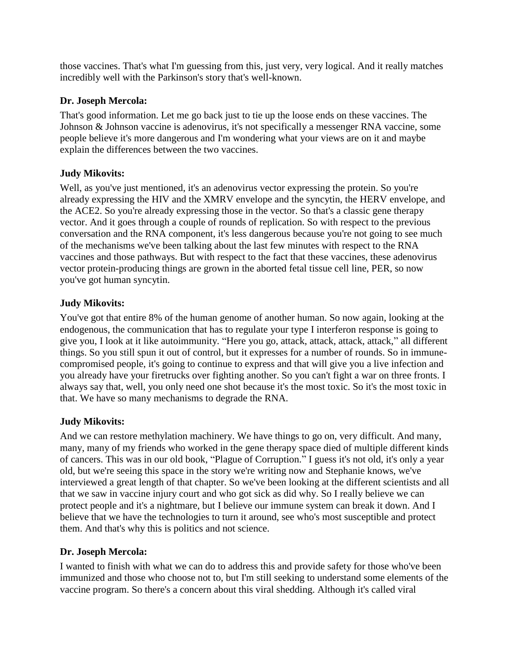those vaccines. That's what I'm guessing from this, just very, very logical. And it really matches incredibly well with the Parkinson's story that's well-known.

## **Dr. Joseph Mercola:**

That's good information. Let me go back just to tie up the loose ends on these vaccines. The Johnson & Johnson vaccine is adenovirus, it's not specifically a messenger RNA vaccine, some people believe it's more dangerous and I'm wondering what your views are on it and maybe explain the differences between the two vaccines.

## **Judy Mikovits:**

Well, as you've just mentioned, it's an adenovirus vector expressing the protein. So you're already expressing the HIV and the XMRV envelope and the syncytin, the HERV envelope, and the ACE2. So you're already expressing those in the vector. So that's a classic gene therapy vector. And it goes through a couple of rounds of replication. So with respect to the previous conversation and the RNA component, it's less dangerous because you're not going to see much of the mechanisms we've been talking about the last few minutes with respect to the RNA vaccines and those pathways. But with respect to the fact that these vaccines, these adenovirus vector protein-producing things are grown in the aborted fetal tissue cell line, PER, so now you've got human syncytin.

#### **Judy Mikovits:**

You've got that entire 8% of the human genome of another human. So now again, looking at the endogenous, the communication that has to regulate your type I interferon response is going to give you, I look at it like autoimmunity. "Here you go, attack, attack, attack, attack," all different things. So you still spun it out of control, but it expresses for a number of rounds. So in immunecompromised people, it's going to continue to express and that will give you a live infection and you already have your firetrucks over fighting another. So you can't fight a war on three fronts. I always say that, well, you only need one shot because it's the most toxic. So it's the most toxic in that. We have so many mechanisms to degrade the RNA.

## **Judy Mikovits:**

And we can restore methylation machinery. We have things to go on, very difficult. And many, many, many of my friends who worked in the gene therapy space died of multiple different kinds of cancers. This was in our old book, "Plague of Corruption." I guess it's not old, it's only a year old, but we're seeing this space in the story we're writing now and Stephanie knows, we've interviewed a great length of that chapter. So we've been looking at the different scientists and all that we saw in vaccine injury court and who got sick as did why. So I really believe we can protect people and it's a nightmare, but I believe our immune system can break it down. And I believe that we have the technologies to turn it around, see who's most susceptible and protect them. And that's why this is politics and not science.

#### **Dr. Joseph Mercola:**

I wanted to finish with what we can do to address this and provide safety for those who've been immunized and those who choose not to, but I'm still seeking to understand some elements of the vaccine program. So there's a concern about this viral shedding. Although it's called viral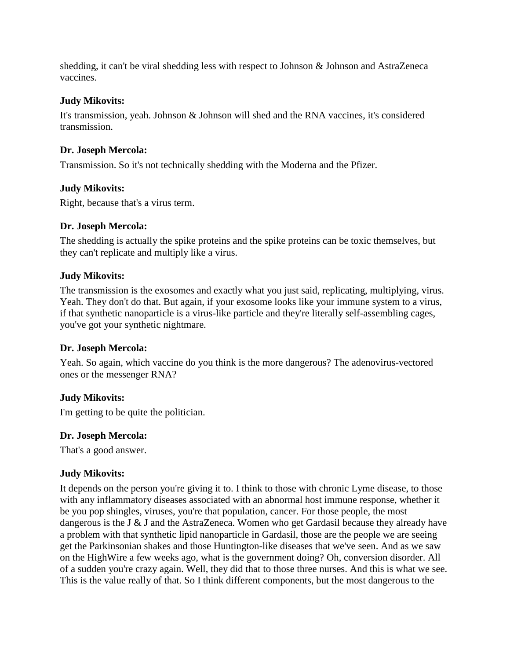shedding, it can't be viral shedding less with respect to Johnson & Johnson and AstraZeneca vaccines.

#### **Judy Mikovits:**

It's transmission, yeah. Johnson & Johnson will shed and the RNA vaccines, it's considered transmission.

### **Dr. Joseph Mercola:**

Transmission. So it's not technically shedding with the Moderna and the Pfizer.

## **Judy Mikovits:**

Right, because that's a virus term.

#### **Dr. Joseph Mercola:**

The shedding is actually the spike proteins and the spike proteins can be toxic themselves, but they can't replicate and multiply like a virus.

#### **Judy Mikovits:**

The transmission is the exosomes and exactly what you just said, replicating, multiplying, virus. Yeah. They don't do that. But again, if your exosome looks like your immune system to a virus, if that synthetic nanoparticle is a virus-like particle and they're literally self-assembling cages, you've got your synthetic nightmare.

## **Dr. Joseph Mercola:**

Yeah. So again, which vaccine do you think is the more dangerous? The adenovirus-vectored ones or the messenger RNA?

## **Judy Mikovits:**

I'm getting to be quite the politician.

## **Dr. Joseph Mercola:**

That's a good answer.

## **Judy Mikovits:**

It depends on the person you're giving it to. I think to those with chronic Lyme disease, to those with any inflammatory diseases associated with an abnormal host immune response, whether it be you pop shingles, viruses, you're that population, cancer. For those people, the most dangerous is the J & J and the AstraZeneca. Women who get Gardasil because they already have a problem with that synthetic lipid nanoparticle in Gardasil, those are the people we are seeing get the Parkinsonian shakes and those Huntington-like diseases that we've seen. And as we saw on the HighWire a few weeks ago, what is the government doing? Oh, conversion disorder. All of a sudden you're crazy again. Well, they did that to those three nurses. And this is what we see. This is the value really of that. So I think different components, but the most dangerous to the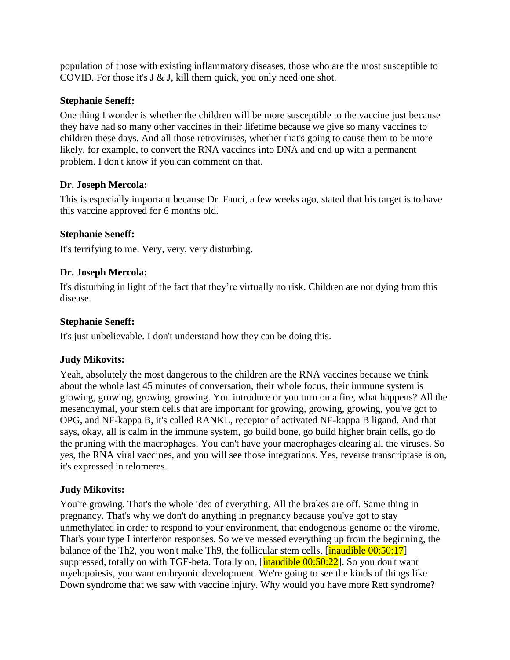population of those with existing inflammatory diseases, those who are the most susceptible to COVID. For those it's J & J, kill them quick, you only need one shot.

#### **Stephanie Seneff:**

One thing I wonder is whether the children will be more susceptible to the vaccine just because they have had so many other vaccines in their lifetime because we give so many vaccines to children these days. And all those retroviruses, whether that's going to cause them to be more likely, for example, to convert the RNA vaccines into DNA and end up with a permanent problem. I don't know if you can comment on that.

#### **Dr. Joseph Mercola:**

This is especially important because Dr. Fauci, a few weeks ago, stated that his target is to have this vaccine approved for 6 months old.

#### **Stephanie Seneff:**

It's terrifying to me. Very, very, very disturbing.

#### **Dr. Joseph Mercola:**

It's disturbing in light of the fact that they're virtually no risk. Children are not dying from this disease.

#### **Stephanie Seneff:**

It's just unbelievable. I don't understand how they can be doing this.

## **Judy Mikovits:**

Yeah, absolutely the most dangerous to the children are the RNA vaccines because we think about the whole last 45 minutes of conversation, their whole focus, their immune system is growing, growing, growing, growing. You introduce or you turn on a fire, what happens? All the mesenchymal, your stem cells that are important for growing, growing, growing, you've got to OPG, and NF-kappa B, it's called RANKL, receptor of activated NF-kappa B ligand. And that says, okay, all is calm in the immune system, go build bone, go build higher brain cells, go do the pruning with the macrophages. You can't have your macrophages clearing all the viruses. So yes, the RNA viral vaccines, and you will see those integrations. Yes, reverse transcriptase is on, it's expressed in telomeres.

#### **Judy Mikovits:**

You're growing. That's the whole idea of everything. All the brakes are off. Same thing in pregnancy. That's why we don't do anything in pregnancy because you've got to stay unmethylated in order to respond to your environment, that endogenous genome of the virome. That's your type I interferon responses. So we've messed everything up from the beginning, the balance of the Th2, you won't make Th9, the follicular stem cells,  $\left[\frac{\text{inaudible } 00:50:17}{\text{inadible } 00:50:17}\right]$ suppressed, totally on with TGF-beta. Totally on,  $\left[\frac{\text{inaudible } 00:50:22}{\text{inocoll}}\right]$ . So you don't want myelopoiesis, you want embryonic development. We're going to see the kinds of things like Down syndrome that we saw with vaccine injury. Why would you have more Rett syndrome?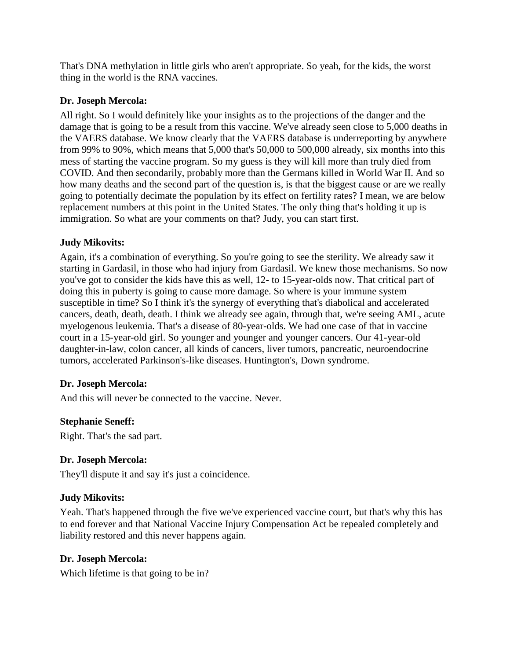That's DNA methylation in little girls who aren't appropriate. So yeah, for the kids, the worst thing in the world is the RNA vaccines.

### **Dr. Joseph Mercola:**

All right. So I would definitely like your insights as to the projections of the danger and the damage that is going to be a result from this vaccine. We've already seen close to 5,000 deaths in the VAERS database. We know clearly that the VAERS database is underreporting by anywhere from 99% to 90%, which means that 5,000 that's 50,000 to 500,000 already, six months into this mess of starting the vaccine program. So my guess is they will kill more than truly died from COVID. And then secondarily, probably more than the Germans killed in World War II. And so how many deaths and the second part of the question is, is that the biggest cause or are we really going to potentially decimate the population by its effect on fertility rates? I mean, we are below replacement numbers at this point in the United States. The only thing that's holding it up is immigration. So what are your comments on that? Judy, you can start first.

#### **Judy Mikovits:**

Again, it's a combination of everything. So you're going to see the sterility. We already saw it starting in Gardasil, in those who had injury from Gardasil. We knew those mechanisms. So now you've got to consider the kids have this as well, 12- to 15-year-olds now. That critical part of doing this in puberty is going to cause more damage. So where is your immune system susceptible in time? So I think it's the synergy of everything that's diabolical and accelerated cancers, death, death, death. I think we already see again, through that, we're seeing AML, acute myelogenous leukemia. That's a disease of 80-year-olds. We had one case of that in vaccine court in a 15-year-old girl. So younger and younger and younger cancers. Our 41-year-old daughter-in-law, colon cancer, all kinds of cancers, liver tumors, pancreatic, neuroendocrine tumors, accelerated Parkinson's-like diseases. Huntington's, Down syndrome.

#### **Dr. Joseph Mercola:**

And this will never be connected to the vaccine. Never.

## **Stephanie Seneff:**

Right. That's the sad part.

#### **Dr. Joseph Mercola:**

They'll dispute it and say it's just a coincidence.

#### **Judy Mikovits:**

Yeah. That's happened through the five we've experienced vaccine court, but that's why this has to end forever and that National Vaccine Injury Compensation Act be repealed completely and liability restored and this never happens again.

## **Dr. Joseph Mercola:**

Which lifetime is that going to be in?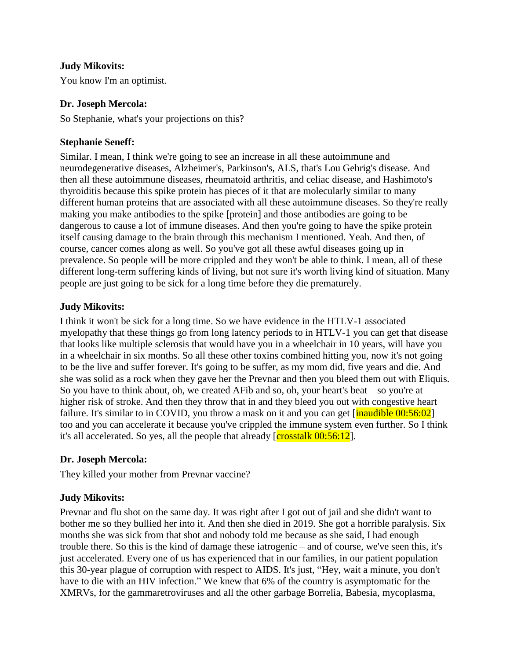You know I'm an optimist.

#### **Dr. Joseph Mercola:**

So Stephanie, what's your projections on this?

### **Stephanie Seneff:**

Similar. I mean, I think we're going to see an increase in all these autoimmune and neurodegenerative diseases, Alzheimer's, Parkinson's, ALS, that's Lou Gehrig's disease. And then all these autoimmune diseases, rheumatoid arthritis, and celiac disease, and Hashimoto's thyroiditis because this spike protein has pieces of it that are molecularly similar to many different human proteins that are associated with all these autoimmune diseases. So they're really making you make antibodies to the spike [protein] and those antibodies are going to be dangerous to cause a lot of immune diseases. And then you're going to have the spike protein itself causing damage to the brain through this mechanism I mentioned. Yeah. And then, of course, cancer comes along as well. So you've got all these awful diseases going up in prevalence. So people will be more crippled and they won't be able to think. I mean, all of these different long-term suffering kinds of living, but not sure it's worth living kind of situation. Many people are just going to be sick for a long time before they die prematurely.

#### **Judy Mikovits:**

I think it won't be sick for a long time. So we have evidence in the HTLV-1 associated myelopathy that these things go from long latency periods to in HTLV-1 you can get that disease that looks like multiple sclerosis that would have you in a wheelchair in 10 years, will have you in a wheelchair in six months. So all these other toxins combined hitting you, now it's not going to be the live and suffer forever. It's going to be suffer, as my mom did, five years and die. And she was solid as a rock when they gave her the Prevnar and then you bleed them out with Eliquis. So you have to think about, oh, we created AFib and so, oh, your heart's beat – so you're at higher risk of stroke. And then they throw that in and they bleed you out with congestive heart failure. It's similar to in COVID, you throw a mask on it and you can get  $\lceil$  inaudible 00:56:02] too and you can accelerate it because you've crippled the immune system even further. So I think it's all accelerated. So yes, all the people that already  $[{\rm crosstalk}\, 00:56:12]$ .

#### **Dr. Joseph Mercola:**

They killed your mother from Prevnar vaccine?

## **Judy Mikovits:**

Prevnar and flu shot on the same day. It was right after I got out of jail and she didn't want to bother me so they bullied her into it. And then she died in 2019. She got a horrible paralysis. Six months she was sick from that shot and nobody told me because as she said, I had enough trouble there. So this is the kind of damage these iatrogenic – and of course, we've seen this, it's just accelerated. Every one of us has experienced that in our families, in our patient population this 30-year plague of corruption with respect to AIDS. It's just, "Hey, wait a minute, you don't have to die with an HIV infection." We knew that 6% of the country is asymptomatic for the XMRVs, for the gammaretroviruses and all the other garbage Borrelia, Babesia, mycoplasma,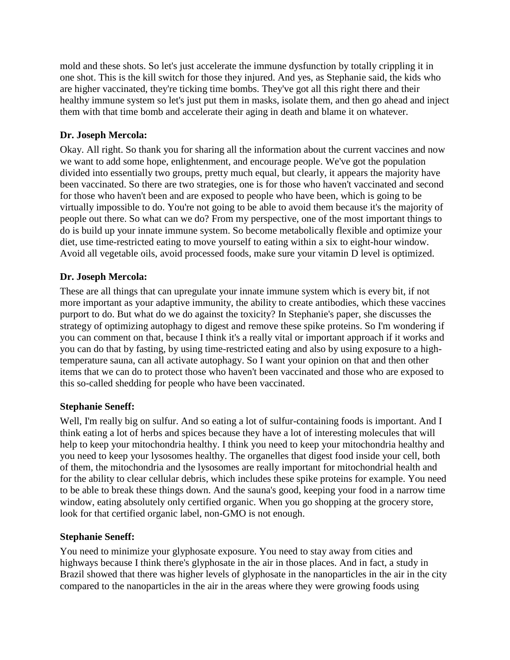mold and these shots. So let's just accelerate the immune dysfunction by totally crippling it in one shot. This is the kill switch for those they injured. And yes, as Stephanie said, the kids who are higher vaccinated, they're ticking time bombs. They've got all this right there and their healthy immune system so let's just put them in masks, isolate them, and then go ahead and inject them with that time bomb and accelerate their aging in death and blame it on whatever.

## **Dr. Joseph Mercola:**

Okay. All right. So thank you for sharing all the information about the current vaccines and now we want to add some hope, enlightenment, and encourage people. We've got the population divided into essentially two groups, pretty much equal, but clearly, it appears the majority have been vaccinated. So there are two strategies, one is for those who haven't vaccinated and second for those who haven't been and are exposed to people who have been, which is going to be virtually impossible to do. You're not going to be able to avoid them because it's the majority of people out there. So what can we do? From my perspective, one of the most important things to do is build up your innate immune system. So become metabolically flexible and optimize your diet, use time-restricted eating to move yourself to eating within a six to eight-hour window. Avoid all vegetable oils, avoid processed foods, make sure your vitamin D level is optimized.

## **Dr. Joseph Mercola:**

These are all things that can upregulate your innate immune system which is every bit, if not more important as your adaptive immunity, the ability to create antibodies, which these vaccines purport to do. But what do we do against the toxicity? In Stephanie's paper, she discusses the strategy of optimizing autophagy to digest and remove these spike proteins. So I'm wondering if you can comment on that, because I think it's a really vital or important approach if it works and you can do that by fasting, by using time-restricted eating and also by using exposure to a hightemperature sauna, can all activate autophagy. So I want your opinion on that and then other items that we can do to protect those who haven't been vaccinated and those who are exposed to this so-called shedding for people who have been vaccinated.

## **Stephanie Seneff:**

Well, I'm really big on sulfur. And so eating a lot of sulfur-containing foods is important. And I think eating a lot of herbs and spices because they have a lot of interesting molecules that will help to keep your mitochondria healthy. I think you need to keep your mitochondria healthy and you need to keep your lysosomes healthy. The organelles that digest food inside your cell, both of them, the mitochondria and the lysosomes are really important for mitochondrial health and for the ability to clear cellular debris, which includes these spike proteins for example. You need to be able to break these things down. And the sauna's good, keeping your food in a narrow time window, eating absolutely only certified organic. When you go shopping at the grocery store, look for that certified organic label, non-GMO is not enough.

## **Stephanie Seneff:**

You need to minimize your glyphosate exposure. You need to stay away from cities and highways because I think there's glyphosate in the air in those places. And in fact, a study in Brazil showed that there was higher levels of glyphosate in the nanoparticles in the air in the city compared to the nanoparticles in the air in the areas where they were growing foods using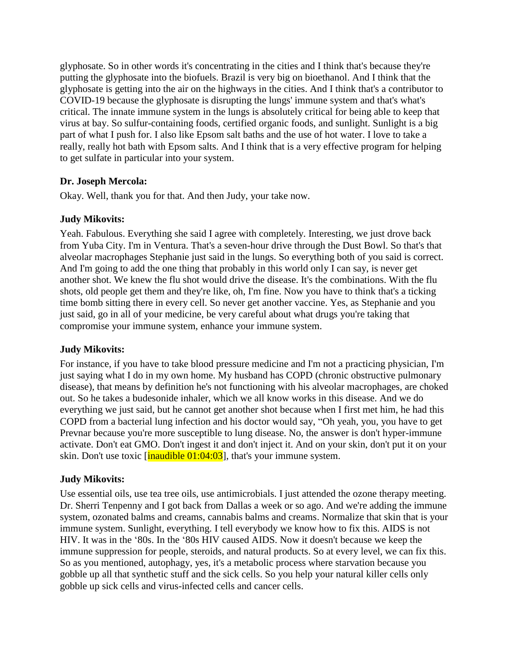glyphosate. So in other words it's concentrating in the cities and I think that's because they're putting the glyphosate into the biofuels. Brazil is very big on bioethanol. And I think that the glyphosate is getting into the air on the highways in the cities. And I think that's a contributor to COVID-19 because the glyphosate is disrupting the lungs' immune system and that's what's critical. The innate immune system in the lungs is absolutely critical for being able to keep that virus at bay. So sulfur-containing foods, certified organic foods, and sunlight. Sunlight is a big part of what I push for. I also like Epsom salt baths and the use of hot water. I love to take a really, really hot bath with Epsom salts. And I think that is a very effective program for helping to get sulfate in particular into your system.

## **Dr. Joseph Mercola:**

Okay. Well, thank you for that. And then Judy, your take now.

#### **Judy Mikovits:**

Yeah. Fabulous. Everything she said I agree with completely. Interesting, we just drove back from Yuba City. I'm in Ventura. That's a seven-hour drive through the Dust Bowl. So that's that alveolar macrophages Stephanie just said in the lungs. So everything both of you said is correct. And I'm going to add the one thing that probably in this world only I can say, is never get another shot. We knew the flu shot would drive the disease. It's the combinations. With the flu shots, old people get them and they're like, oh, I'm fine. Now you have to think that's a ticking time bomb sitting there in every cell. So never get another vaccine. Yes, as Stephanie and you just said, go in all of your medicine, be very careful about what drugs you're taking that compromise your immune system, enhance your immune system.

#### **Judy Mikovits:**

For instance, if you have to take blood pressure medicine and I'm not a practicing physician, I'm just saying what I do in my own home. My husband has COPD (chronic obstructive pulmonary disease), that means by definition he's not functioning with his alveolar macrophages, are choked out. So he takes a budesonide inhaler, which we all know works in this disease. And we do everything we just said, but he cannot get another shot because when I first met him, he had this COPD from a bacterial lung infection and his doctor would say, "Oh yeah, you, you have to get Prevnar because you're more susceptible to lung disease. No, the answer is don't hyper-immune activate. Don't eat GMO. Don't ingest it and don't inject it. And on your skin, don't put it on your skin. Don't use toxic  $[\text{inaudible } 01:04:03]$ , that's your immune system.

## **Judy Mikovits:**

Use essential oils, use tea tree oils, use antimicrobials. I just attended the ozone therapy meeting. Dr. Sherri Tenpenny and I got back from Dallas a week or so ago. And we're adding the immune system, ozonated balms and creams, cannabis balms and creams. Normalize that skin that is your immune system. Sunlight, everything. I tell everybody we know how to fix this. AIDS is not HIV. It was in the '80s. In the '80s HIV caused AIDS. Now it doesn't because we keep the immune suppression for people, steroids, and natural products. So at every level, we can fix this. So as you mentioned, autophagy, yes, it's a metabolic process where starvation because you gobble up all that synthetic stuff and the sick cells. So you help your natural killer cells only gobble up sick cells and virus-infected cells and cancer cells.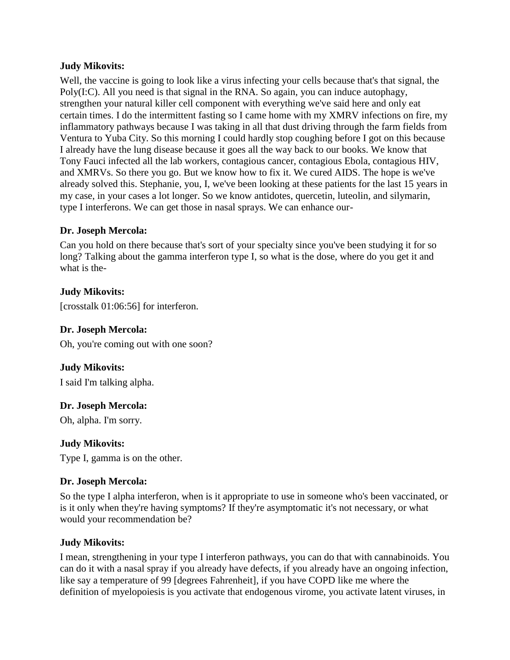Well, the vaccine is going to look like a virus infecting your cells because that's that signal, the Poly(I:C). All you need is that signal in the RNA. So again, you can induce autophagy, strengthen your natural killer cell component with everything we've said here and only eat certain times. I do the intermittent fasting so I came home with my XMRV infections on fire, my inflammatory pathways because I was taking in all that dust driving through the farm fields from Ventura to Yuba City. So this morning I could hardly stop coughing before I got on this because I already have the lung disease because it goes all the way back to our books. We know that Tony Fauci infected all the lab workers, contagious cancer, contagious Ebola, contagious HIV, and XMRVs. So there you go. But we know how to fix it. We cured AIDS. The hope is we've already solved this. Stephanie, you, I, we've been looking at these patients for the last 15 years in my case, in your cases a lot longer. So we know antidotes, quercetin, luteolin, and silymarin, type I interferons. We can get those in nasal sprays. We can enhance our-

#### **Dr. Joseph Mercola:**

Can you hold on there because that's sort of your specialty since you've been studying it for so long? Talking about the gamma interferon type I, so what is the dose, where do you get it and what is the-

## **Judy Mikovits:**

[crosstalk 01:06:56] for interferon.

### **Dr. Joseph Mercola:**

Oh, you're coming out with one soon?

## **Judy Mikovits:**

I said I'm talking alpha.

## **Dr. Joseph Mercola:**

Oh, alpha. I'm sorry.

## **Judy Mikovits:**

Type I, gamma is on the other.

## **Dr. Joseph Mercola:**

So the type I alpha interferon, when is it appropriate to use in someone who's been vaccinated, or is it only when they're having symptoms? If they're asymptomatic it's not necessary, or what would your recommendation be?

## **Judy Mikovits:**

I mean, strengthening in your type I interferon pathways, you can do that with cannabinoids. You can do it with a nasal spray if you already have defects, if you already have an ongoing infection, like say a temperature of 99 [degrees Fahrenheit], if you have COPD like me where the definition of myelopoiesis is you activate that endogenous virome, you activate latent viruses, in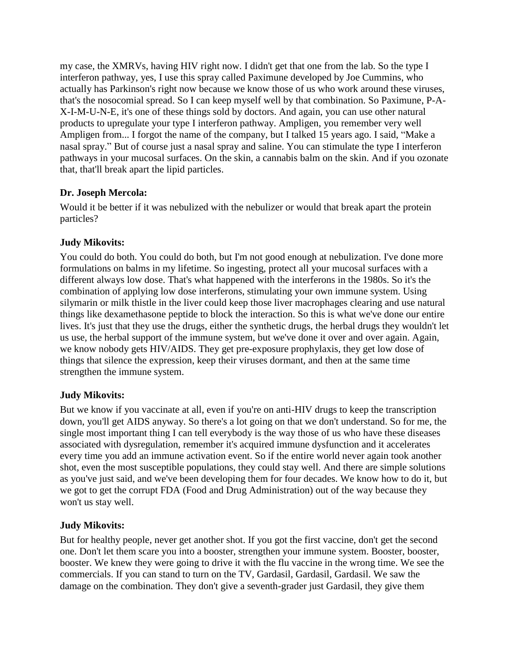my case, the XMRVs, having HIV right now. I didn't get that one from the lab. So the type I interferon pathway, yes, I use this spray called Paximune developed by Joe Cummins, who actually has Parkinson's right now because we know those of us who work around these viruses, that's the nosocomial spread. So I can keep myself well by that combination. So Paximune, P-A-X-I-M-U-N-E, it's one of these things sold by doctors. And again, you can use other natural products to upregulate your type I interferon pathway. Ampligen, you remember very well Ampligen from... I forgot the name of the company, but I talked 15 years ago. I said, "Make a nasal spray." But of course just a nasal spray and saline. You can stimulate the type I interferon pathways in your mucosal surfaces. On the skin, a cannabis balm on the skin. And if you ozonate that, that'll break apart the lipid particles.

## **Dr. Joseph Mercola:**

Would it be better if it was nebulized with the nebulizer or would that break apart the protein particles?

## **Judy Mikovits:**

You could do both. You could do both, but I'm not good enough at nebulization. I've done more formulations on balms in my lifetime. So ingesting, protect all your mucosal surfaces with a different always low dose. That's what happened with the interferons in the 1980s. So it's the combination of applying low dose interferons, stimulating your own immune system. Using silymarin or milk thistle in the liver could keep those liver macrophages clearing and use natural things like dexamethasone peptide to block the interaction. So this is what we've done our entire lives. It's just that they use the drugs, either the synthetic drugs, the herbal drugs they wouldn't let us use, the herbal support of the immune system, but we've done it over and over again. Again, we know nobody gets HIV/AIDS. They get pre-exposure prophylaxis, they get low dose of things that silence the expression, keep their viruses dormant, and then at the same time strengthen the immune system.

## **Judy Mikovits:**

But we know if you vaccinate at all, even if you're on anti-HIV drugs to keep the transcription down, you'll get AIDS anyway. So there's a lot going on that we don't understand. So for me, the single most important thing I can tell everybody is the way those of us who have these diseases associated with dysregulation, remember it's acquired immune dysfunction and it accelerates every time you add an immune activation event. So if the entire world never again took another shot, even the most susceptible populations, they could stay well. And there are simple solutions as you've just said, and we've been developing them for four decades. We know how to do it, but we got to get the corrupt FDA (Food and Drug Administration) out of the way because they won't us stay well.

## **Judy Mikovits:**

But for healthy people, never get another shot. If you got the first vaccine, don't get the second one. Don't let them scare you into a booster, strengthen your immune system. Booster, booster, booster. We knew they were going to drive it with the flu vaccine in the wrong time. We see the commercials. If you can stand to turn on the TV, Gardasil, Gardasil, Gardasil. We saw the damage on the combination. They don't give a seventh-grader just Gardasil, they give them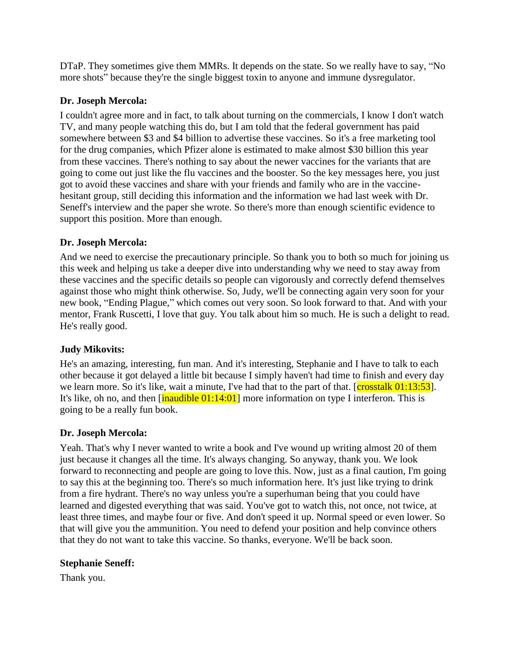DTaP. They sometimes give them MMRs. It depends on the state. So we really have to say, "No more shots" because they're the single biggest toxin to anyone and immune dysregulator.

## **Dr. Joseph Mercola:**

I couldn't agree more and in fact, to talk about turning on the commercials, I know I don't watch TV, and many people watching this do, but I am told that the federal government has paid somewhere between \$3 and \$4 billion to advertise these vaccines. So it's a free marketing tool for the drug companies, which Pfizer alone is estimated to make almost \$30 billion this year from these vaccines. There's nothing to say about the newer vaccines for the variants that are going to come out just like the flu vaccines and the booster. So the key messages here, you just got to avoid these vaccines and share with your friends and family who are in the vaccinehesitant group, still deciding this information and the information we had last week with Dr. Seneff's interview and the paper she wrote. So there's more than enough scientific evidence to support this position. More than enough.

#### **Dr. Joseph Mercola:**

And we need to exercise the precautionary principle. So thank you to both so much for joining us this week and helping us take a deeper dive into understanding why we need to stay away from these vaccines and the specific details so people can vigorously and correctly defend themselves against those who might think otherwise. So, Judy, we'll be connecting again very soon for your new book, "Ending Plague," which comes out very soon. So look forward to that. And with your mentor, Frank Ruscetti, I love that guy. You talk about him so much. He is such a delight to read. He's really good.

## **Judy Mikovits:**

He's an amazing, interesting, fun man. And it's interesting, Stephanie and I have to talk to each other because it got delayed a little bit because I simply haven't had time to finish and every day we learn more. So it's like, wait a minute, I've had that to the part of that.  $\frac{1}{\cos\theta}$  [crosstalk 01:13:53]. It's like, oh no, and then  $[\text{inaudible } 01:14:01]$  more information on type I interferon. This is going to be a really fun book.

#### **Dr. Joseph Mercola:**

Yeah. That's why I never wanted to write a book and I've wound up writing almost 20 of them just because it changes all the time. It's always changing. So anyway, thank you. We look forward to reconnecting and people are going to love this. Now, just as a final caution, I'm going to say this at the beginning too. There's so much information here. It's just like trying to drink from a fire hydrant. There's no way unless you're a superhuman being that you could have learned and digested everything that was said. You've got to watch this, not once, not twice, at least three times, and maybe four or five. And don't speed it up. Normal speed or even lower. So that will give you the ammunition. You need to defend your position and help convince others that they do not want to take this vaccine. So thanks, everyone. We'll be back soon.

#### **Stephanie Seneff:**

Thank you.